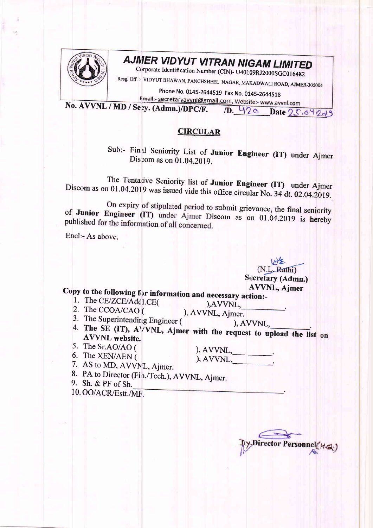

## **AJMER VIDYUT VITRAN NIGAM LIMITED**

Corporate Identification Number (CIN)- U40109RJ2000SGC016482

Resg. Off.: VIDYUT BHAWAN, PANCHSHEEL NAGAR, MAKADWALI ROAD, AJMER-305004

Phone No. 0145-2644519 Fax No. 0145-2644518

Email:- secretaryavvnl@gmail.com, Website:- www.avvnl.com

No. AVVNL / MD / Secy. (Admn.)/DPC/F. 1D. 420 Date 25.04.2019

## **CIRCULAR**

Sub:- Final Seniority List of Junior Engineer (IT) under Ajmer Discom as on 01.04.2019.

The Tentative Seniority list of Junior Engineer (IT) under Ajmer Discom as on 01.04.2019 was issued vide this office circular No. 34 dt. 02.04.2019.

On expiry of stipulated period to submit grievance, the final seniority of Junior Engineer (IT) under Ajmer Discom as on 01.04.2019 is hereby published for the information of all concerned.

Encl:- As above.

(N.L. Rathi) **Secretary (Admn.) AVVNL**, Ajmer

Copy to the following for information and necessary action:-

1. The CE/ZCE/Addl.CE( 2. The CCOA/CAO (

), AVVNL, ), AVVNL, Ajmer.

- 3. The Superintending Engineer (
- $AVVNL$ .
- 4. The SE (IT), AVVNL, Ajmer with the request to upload the list on **AVVNL** website.
- 5. The Sr.AO/AO (

6. The XEN/AEN (

 $), AVVNL,$ 

- 7. AS to MD, AVVNL, Ajmer.
- 8. PA to Director (Fin./Tech.), AVVNL, Ajmer.
- 9. Sh. & PF of Sh.

10. OO/ACR/Estt./MF.

Director Personnel (HG